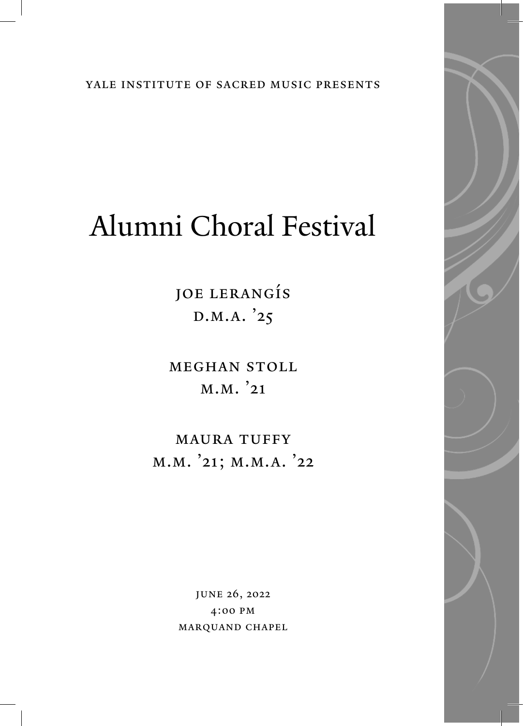yale institute of sacred music presents

# Alumni Choral Festival

Joe Lerangís D.M.A. '25

Meghan Stoll M.M. '21

MAURA TUFFY M.M. '21; M.M.A. '22

> June 26, 2022 4:00 PM Marquand Chapel

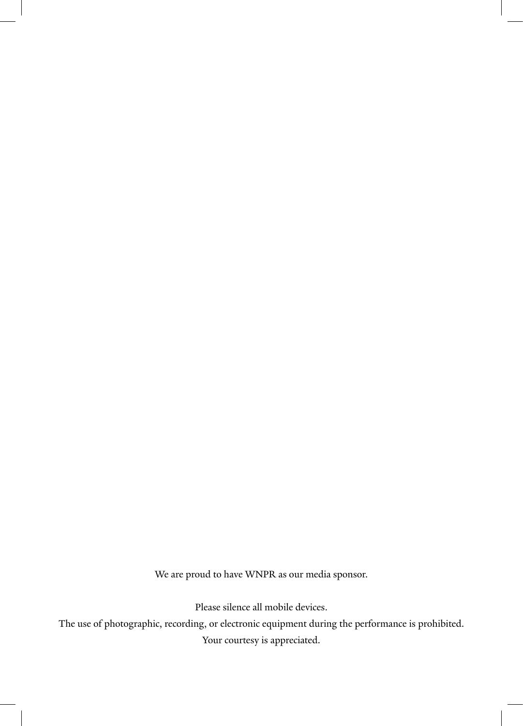We are proud to have WNPR as our media sponsor.

Please silence all mobile devices.

The use of photographic, recording, or electronic equipment during the performance is prohibited. Your courtesy is appreciated.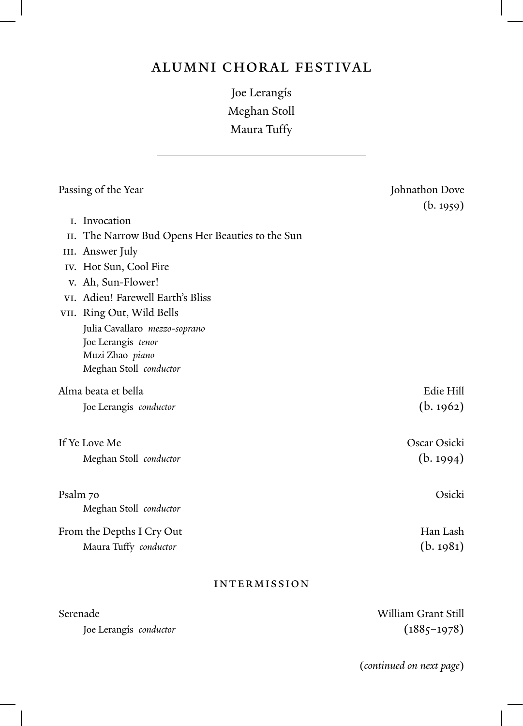## Alumni Choral Festival

Joe Lerangís Meghan Stoll Maura Tuffy

| Passing of the Year       |                                                  | Johnathon Dove<br>(b. 1959) |
|---------------------------|--------------------------------------------------|-----------------------------|
|                           | I. Invocation                                    |                             |
|                           | II. The Narrow Bud Opens Her Beauties to the Sun |                             |
|                           | III. Answer July                                 |                             |
|                           | IV. Hot Sun, Cool Fire                           |                             |
|                           | v. Ah, Sun-Flower!                               |                             |
|                           | VI. Adieu! Farewell Earth's Bliss                |                             |
|                           | VII. Ring Out, Wild Bells                        |                             |
|                           | Julia Cavallaro mezzo-soprano                    |                             |
|                           | Joe Lerangís tenor                               |                             |
|                           | Muzi Zhao piano                                  |                             |
|                           | Meghan Stoll conductor                           |                             |
| Alma beata et bella       |                                                  | Edie Hill                   |
|                           | Joe Lerangís conductor                           | (b. 1962)                   |
| If Ye Love Me             |                                                  | Oscar Osicki                |
|                           | Meghan Stoll conductor                           | (b. 1994)                   |
| Psalm 70                  |                                                  | Osicki                      |
|                           | Meghan Stoll conductor                           |                             |
| From the Depths I Cry Out |                                                  | Han Lash                    |
|                           | Maura Tuffy conductor                            | (b. 1981)                   |
| <b>INTERMISSION</b>       |                                                  |                             |

Serenade William Grant Still Joe Lerangís *conductor* (1885–1978)

(*continued on next page*)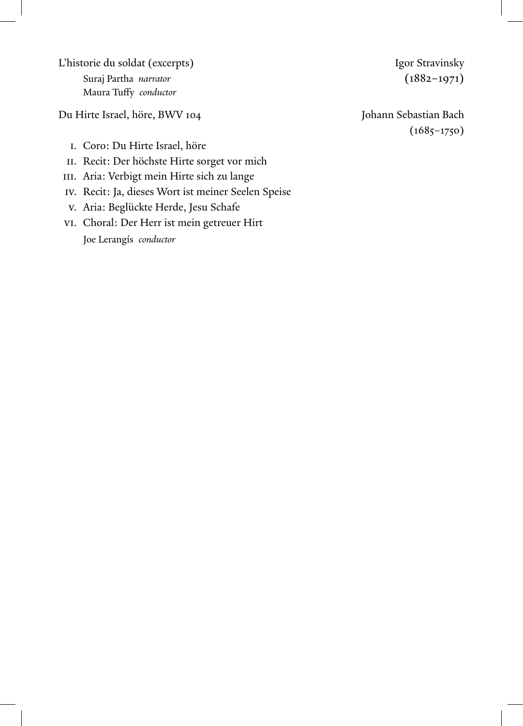L'historie du soldat (excerpts) **Igor Stravinsky** Suraj Partha *narrator* (1882–1971) Maura Tuffy *conductor*

Du Hirte Israel, höre, BWV 104 Johann Sebastian Bach

- I. Coro: Du Hirte Israel, höre
- II. Recit: Der höchste Hirte sorget vor mich
- III. Aria: Verbigt mein Hirte sich zu lange
- IV. Recit: Ja, dieses Wort ist meiner Seelen Speise
- V. Aria: Beglückte Herde, Jesu Schafe
- VI. Choral: Der Herr ist mein getreuer Hirt Joe Lerangís *conductor*

 $(1685 - 1750)$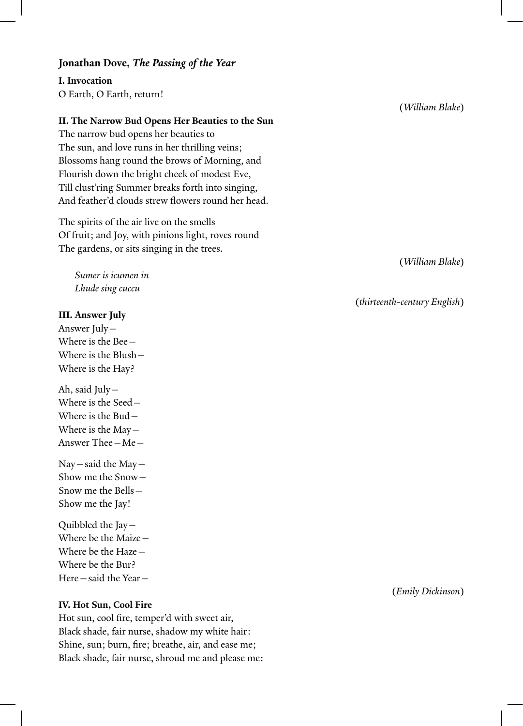#### **Jonathan Dove,** *The Passing of the Year*

**I. Invocation** O Earth, O Earth, return!

#### **II. The Narrow Bud Opens Her Beauties to the Sun**

The narrow bud opens her beauties to The sun, and love runs in her thrilling veins; Blossoms hang round the brows of Morning, and Flourish down the bright cheek of modest Eve, Till clust'ring Summer breaks forth into singing, And feather'd clouds strew flowers round her head.

The spirits of the air live on the smells Of fruit; and Joy, with pinions light, roves round The gardens, or sits singing in the trees.

 *Sumer is icumen in Lhude sing cuccu*

#### **III. Answer July**

Answer July— Where is the Bee— Where is the Blush— Where is the Hay?

Ah, said July— Where is the Seed— Where is the Bud— Where is the May— Answer Thee—Me—

Nay—said the May— Show me the Snow— Snow me the Bells— Show me the Jay!

Quibbled the Jay— Where be the Maize— Where be the Haze— Where be the Bur? Here—said the Year—

#### **IV. Hot Sun, Cool Fire**

Hot sun, cool fire, temper'd with sweet air, Black shade, fair nurse, shadow my white hair: Shine, sun; burn, fire; breathe, air, and ease me; Black shade, fair nurse, shroud me and please me: (*William Blake*)

(*William Blake*)

(*thirteenth-century English*)

(*Emily Dickinson*)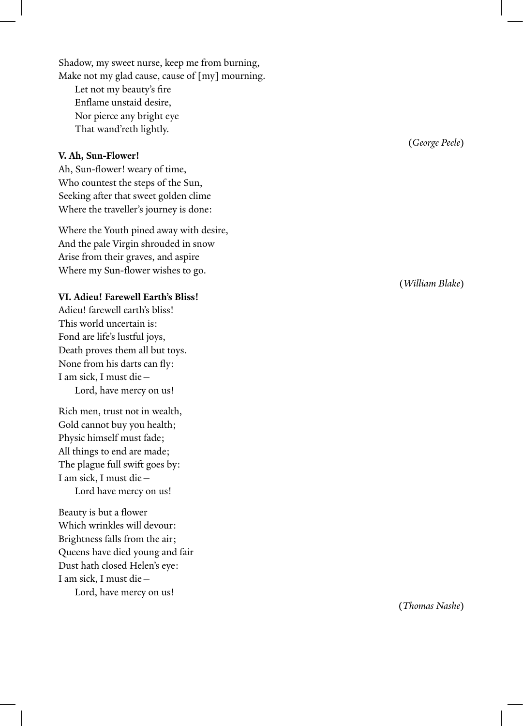Shadow, my sweet nurse, keep me from burning, Make not my glad cause, cause of [my] mourning.

 Let not my beauty's fire Enflame unstaid desire, Nor pierce any bright eye That wand'reth lightly.

#### **V. Ah, Sun-Flower!**

Ah, Sun-flower! weary of time, Who countest the steps of the Sun, Seeking after that sweet golden clime Where the traveller's journey is done:

Where the Youth pined away with desire, And the pale Virgin shrouded in snow Arise from their graves, and aspire Where my Sun-flower wishes to go.

#### **VI. Adieu! Farewell Earth's Bliss!**

Adieu! farewell earth's bliss! This world uncertain is: Fond are life's lustful joys, Death proves them all but toys. None from his darts can fly: I am sick, I must die— Lord, have mercy on us!

Rich men, trust not in wealth, Gold cannot buy you health; Physic himself must fade; All things to end are made; The plague full swift goes by: I am sick, I must die— Lord have mercy on us!

Beauty is but a flower Which wrinkles will devour: Brightness falls from the air; Queens have died young and fair Dust hath closed Helen's eye: I am sick, I must die—

Lord, have mercy on us!

(*George Peele* )

(*William Blake* )

(*Thomas Nashe* )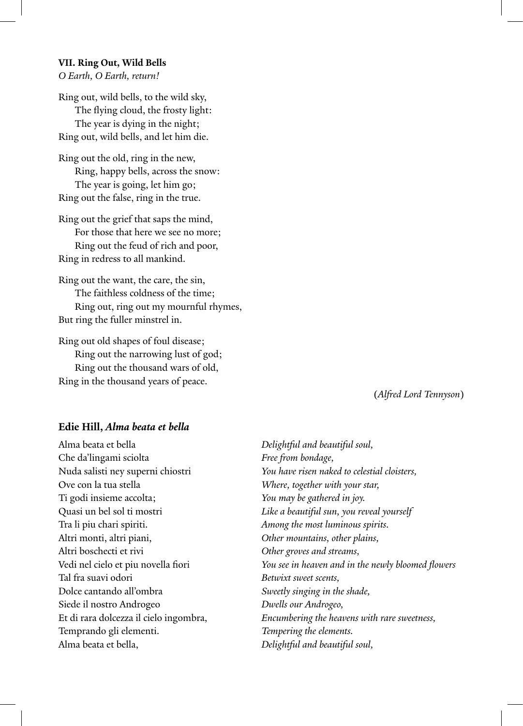#### **VII. Ring Out, Wild Bells**

*O Earth, O Earth, return!*

Ring out, wild bells, to the wild sky, The flying cloud, the frosty light: The year is dying in the night; Ring out, wild bells, and let him die.

Ring out the old, ring in the new, Ring, happy bells, across the snow: The year is going, let him go; Ring out the false, ring in the true.

Ring out the grief that saps the mind, For those that here we see no more; Ring out the feud of rich and poor, Ring in redress to all mankind.

Ring out the want, the care, the sin, The faithless coldness of the time; Ring out, ring out my mournful rhymes, But ring the fuller minstrel in.

Ring out old shapes of foul disease; Ring out the narrowing lust of god; Ring out the thousand wars of old, Ring in the thousand years of peace.

(*Alfred Lord Tennyson*)

#### **Edie Hill,** *Alma beata et bella*

Alma beata et bella *Delightful and beautiful soul,* Che da'lingami sciolta *Free from bondage,* Ove con la tua stella *Where, together with your star,* Ti godi insieme accolta; *You may be gathered in joy.*  Tra li piu chari spiriti. *Among the most luminous spirits.*  Altri monti, altri piani, *Other mountains, other plains,* Altri boschecti et rivi *Other groves and streams,* Tal fra suavi odori *Betwixt sweet scents,* Dolce cantando all'ombra *Sweetly singing in the shade,* Siede il nostro Androgeo *Dwells our Androgeo,* Temprando gli elementi. *Tempering the elements.* Alma beata et bella, *Delightful and beautiful soul,*

Nuda salisti ney superni chiostri *You have risen naked to celestial cloisters,* Quasi un bel sol ti mostri *Like a beautiful sun, you reveal yourself* Vedi nel cielo et piu novella fiori *You see in heaven and in the newly bloomed flowers* Et di rara dolcezza il cielo ingombra, *Encumbering the heavens with rare sweetness,*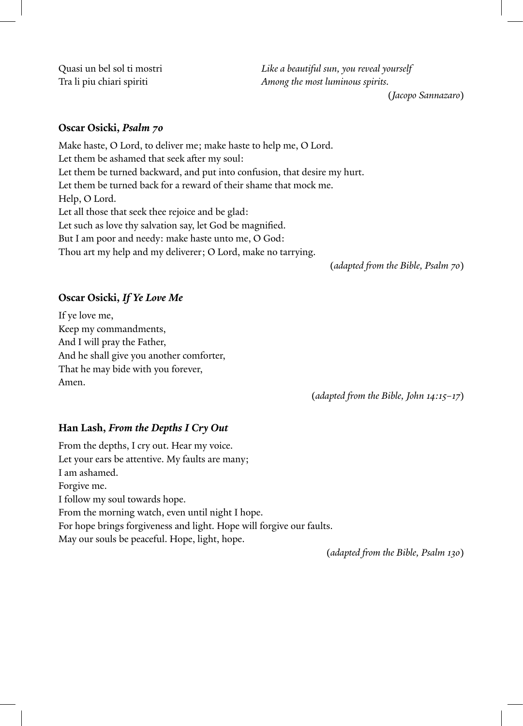Quasi un bel sol ti mostri *Like a beautiful sun, you reveal yourself* Tra li piu chiari spiriti *Among the most luminous spirits.*

(*Jacopo Sannazaro*)

#### **Oscar Osicki,** *Psalm 70*

Make haste, O Lord, to deliver me; make haste to help me, O Lord. Let them be ashamed that seek after my soul: Let them be turned backward, and put into confusion, that desire my hurt. Let them be turned back for a reward of their shame that mock me. Help, O Lord. Let all those that seek thee rejoice and be glad: Let such as love thy salvation say, let God be magnified. But I am poor and needy: make haste unto me, O God: Thou art my help and my deliverer; O Lord, make no tarrying.

(*adapted from the Bible, Psalm 70*)

### **Oscar Osicki,** *If Ye Love Me*

If ye love me, Keep my commandments, And I will pray the Father, And he shall give you another comforter, That he may bide with you forever, Amen.

(*adapted from the Bible, John 14:15–17*)

### **Han Lash,** *From the Depths I Cry Out*

From the depths, I cry out. Hear my voice. Let your ears be attentive. My faults are many; I am ashamed. Forgive me. I follow my soul towards hope. From the morning watch, even until night I hope. For hope brings forgiveness and light. Hope will forgive our faults. May our souls be peaceful. Hope, light, hope.

(*adapted from the Bible, Psalm 130*)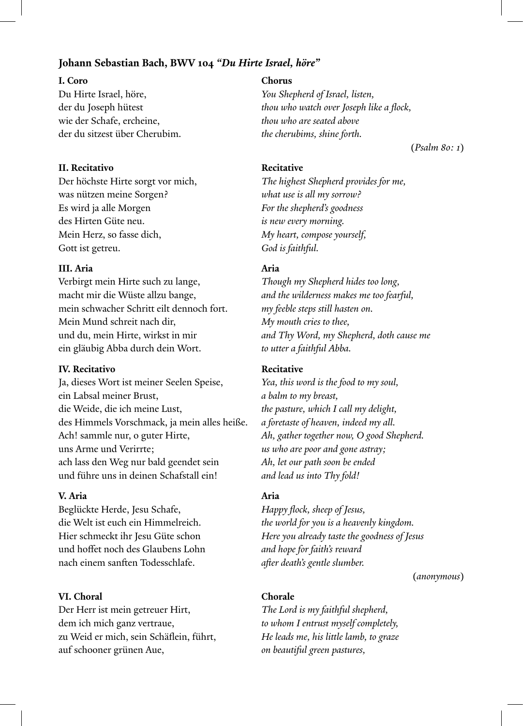#### **Johann Sebastian Bach, BWV 104** *"Du Hirte Israel, höre"*

Du Hirte Israel, höre, *You Shepherd of Israel, listen,* wie der Schafe, ercheine, *thou who are seated above*  der du sitzest über Cherubim. *the cherubims, shine forth.*

#### **II. Recitativo Recitative**

Der höchste Hirte sorgt vor mich, *The highest Shepherd provides for me,* was nützen meine Sorgen? *what use is all my sorrow?* Es wird ja alle Morgen *For the shepherd's goodness* des Hirten Güte neu. *is new every morning.* Mein Herz, so fasse dich, *My heart, compose yourself,* Gott ist getreu. **God is faithful. God is faithful.** 

#### **III. Aria Aria**

Verbirgt mein Hirte such zu lange, *Though my Shepherd hides too long,* macht mir die Wüste allzu bange, *and the wilderness makes me too fearful,* mein schwacher Schritt eilt dennoch fort. *my feeble steps still hasten on.* Mein Mund schreit nach dir, *My mouth cries to thee,* und du, mein Hirte, wirkst in mir *and Thy Word, my Shepherd, doth cause me* ein gläubig Abba durch dein Wort. *to utter a faithful Abba.* 

#### **IV. Recitativo Recitative**

Ja, dieses Wort ist meiner Seelen Speise, *Yea, this word is the food to my soul,* ein Labsal meiner Brust, *a balm to my breast,*  die Weide, die ich meine Lust, *the pasture, which I call my delight,* des Himmels Vorschmack, ja mein alles heiße. *a foretaste of heaven, indeed my all.* Ach! sammle nur, o guter Hirte, *Ah, gather together now, O good Shepherd.* uns Arme und Verirrte; *us who are poor and gone astray;* ach lass den Weg nur bald geendet sein *Ah, let our path soon be ended* und führe uns in deinen Schafstall ein! *and lead us into Thy fold!*

#### **V. Aria Aria**

Beglückte Herde, Jesu Schafe, *Happy flock, sheep of Jesus,* und hoffet noch des Glaubens Lohn *and hope for faith's reward* nach einem sanften Todesschlafe. *after death's gentle slumber.*

#### **VI. Choral Chorale**

Der Herr ist mein getreuer Hirt, *The Lord is my faithful shepherd,* dem ich mich ganz vertraue, *to whom I entrust myself completely,* zu Weid er mich, sein Schäflein, führt, *He leads me, his little lamb, to graze* auf schooner grünen Aue, *on beautiful green pastures,*

#### **I. Coro Chorus**

der du Joseph hütest *thou who watch over Joseph like a flock,*

(*Psalm 80: 1*)

die Welt ist euch ein Himmelreich. *the world for you is a heavenly kingdom.* Hier schmeckt ihr Jesu Güte schon *Here you already taste the goodness of Jesus*

(*anonymous*)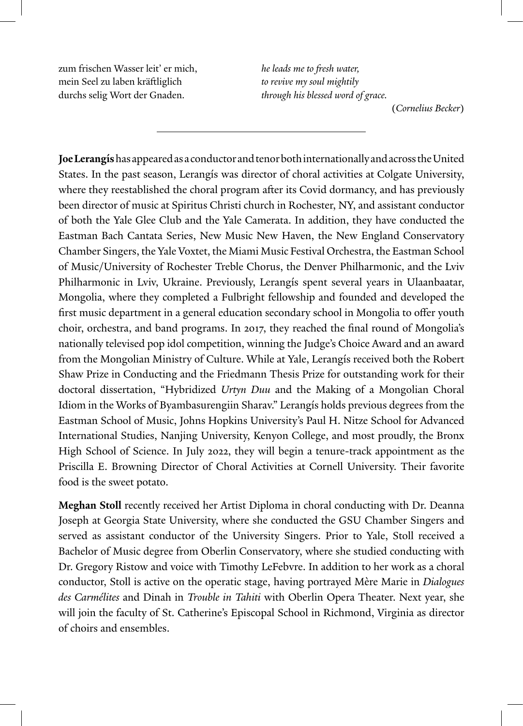zum frischen Wasser leit' er mich, *he leads me to fresh water,* mein Seel zu laben kräftliglich *to revive my soul mightily* durchs selig Wort der Gnaden. *through his blessed word of grace.*

(*Cornelius Becker*)

**Joe Lerangís** has appeared as a conductor and tenor both internationally and across the United States. In the past season, Lerangís was director of choral activities at Colgate University, where they reestablished the choral program after its Covid dormancy, and has previously been director of music at Spiritus Christi church in Rochester, NY, and assistant conductor of both the Yale Glee Club and the Yale Camerata. In addition, they have conducted the Eastman Bach Cantata Series, New Music New Haven, the New England Conservatory Chamber Singers, the Yale Voxtet, the Miami Music Festival Orchestra, the Eastman School of Music/University of Rochester Treble Chorus, the Denver Philharmonic, and the Lviv Philharmonic in Lviv, Ukraine. Previously, Lerangís spent several years in Ulaanbaatar, Mongolia, where they completed a Fulbright fellowship and founded and developed the first music department in a general education secondary school in Mongolia to offer youth choir, orchestra, and band programs. In 2017, they reached the final round of Mongolia's nationally televised pop idol competition, winning the Judge's Choice Award and an award from the Mongolian Ministry of Culture. While at Yale, Lerangís received both the Robert Shaw Prize in Conducting and the Friedmann Thesis Prize for outstanding work for their doctoral dissertation, "Hybridized *Urtyn Duu* and the Making of a Mongolian Choral Idiom in the Works of Byambasurengiin Sharav." Lerangís holds previous degrees from the Eastman School of Music, Johns Hopkins University's Paul H. Nitze School for Advanced International Studies, Nanjing University, Kenyon College, and most proudly, the Bronx High School of Science. In July 2022, they will begin a tenure-track appointment as the Priscilla E. Browning Director of Choral Activities at Cornell University. Their favorite food is the sweet potato.

**Meghan Stoll** recently received her Artist Diploma in choral conducting with Dr. Deanna Joseph at Georgia State University, where she conducted the GSU Chamber Singers and served as assistant conductor of the University Singers. Prior to Yale, Stoll received a Bachelor of Music degree from Oberlin Conservatory, where she studied conducting with Dr. Gregory Ristow and voice with Timothy LeFebvre. In addition to her work as a choral conductor, Stoll is active on the operatic stage, having portrayed Mère Marie in *Dialogues des Carmélites* and Dinah in *Trouble in Tahiti* with Oberlin Opera Theater. Next year, she will join the faculty of St. Catherine's Episcopal School in Richmond, Virginia as director of choirs and ensembles.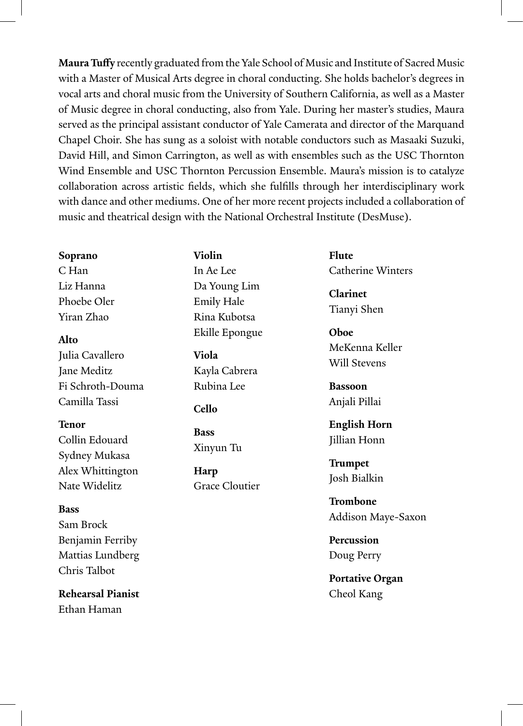**Maura Tuffy** recently graduated from the Yale School of Music and Institute of Sacred Music with a Master of Musical Arts degree in choral conducting. She holds bachelor's degrees in vocal arts and choral music from the University of Southern California, as well as a Master of Music degree in choral conducting, also from Yale. During her master's studies, Maura served as the principal assistant conductor of Yale Camerata and director of the Marquand Chapel Choir. She has sung as a soloist with notable conductors such as Masaaki Suzuki, David Hill, and Simon Carrington, as well as with ensembles such as the USC Thornton Wind Ensemble and USC Thornton Percussion Ensemble. Maura's mission is to catalyze collaboration across artistic fields, which she fulfills through her interdisciplinary work with dance and other mediums. One of her more recent projects included a collaboration of music and theatrical design with the National Orchestral Institute (DesMuse).

#### **Soprano**

C Han Liz Hanna Phoebe Oler Yiran Zhao

### **Alto**

Julia Cavallero Jane Meditz Fi Schroth-Douma Camilla Tassi

### **Tenor**

Collin Edouard Sydney Mukasa Alex Whittington Nate Widelitz

### **Bass**

Sam Brock Benjamin Ferriby Mattias Lundberg Chris Talbot

**Rehearsal Pianist** Ethan Haman

**Violin** In Ae Lee Da Young Lim Emily Hale Rina Kubotsa Ekille Epongue

**Viola** Kayla Cabrera Rubina Lee

### **Cello**

**Bass** Xinyun Tu

**Harp** Grace Cloutier **Flute** Catherine Winters

**Clarinet** Tianyi Shen

**Oboe**  MeKenna Keller Will Stevens

**Bassoon** Anjali Pillai

**English Horn** Jillian Honn

**Trumpet** Josh Bialkin

**Trombone** Addison Maye-Saxon

**Percussion** Doug Perry

**Portative Organ** Cheol Kang